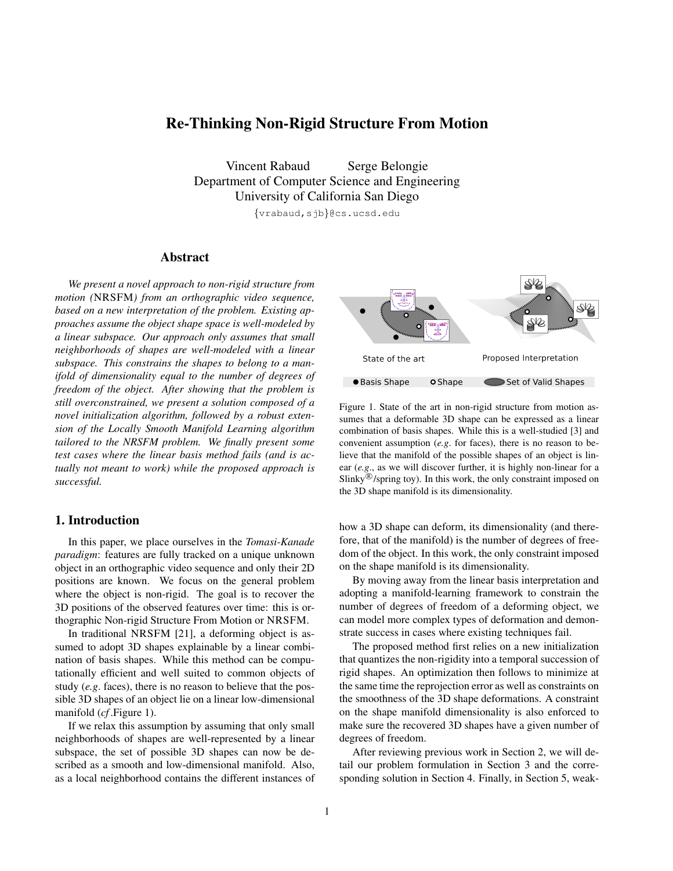# Re-Thinking Non-Rigid Structure From Motion

Vincent Rabaud Serge Belongie Department of Computer Science and Engineering University of California San Diego

{vrabaud,sjb}@cs.ucsd.edu

# Abstract

*We present a novel approach to non-rigid structure from motion (*NRSFM*) from an orthographic video sequence, based on a new interpretation of the problem. Existing approaches assume the object shape space is well-modeled by a linear subspace. Our approach only assumes that small neighborhoods of shapes are well-modeled with a linear subspace. This constrains the shapes to belong to a manifold of dimensionality equal to the number of degrees of freedom of the object. After showing that the problem is still overconstrained, we present a solution composed of a novel initialization algorithm, followed by a robust extension of the Locally Smooth Manifold Learning algorithm tailored to the NRSFM problem. We finally present some test cases where the linear basis method fails (and is actually not meant to work) while the proposed approach is successful.*

# 1. Introduction

In this paper, we place ourselves in the *Tomasi-Kanade paradigm*: features are fully tracked on a unique unknown object in an orthographic video sequence and only their 2D positions are known. We focus on the general problem where the object is non-rigid. The goal is to recover the 3D positions of the observed features over time: this is orthographic Non-rigid Structure From Motion or NRSFM.

In traditional NRSFM [21], a deforming object is assumed to adopt 3D shapes explainable by a linear combination of basis shapes. While this method can be computationally efficient and well suited to common objects of study (*e.g*. faces), there is no reason to believe that the possible 3D shapes of an object lie on a linear low-dimensional manifold (*cf* .Figure 1).

If we relax this assumption by assuming that only small neighborhoods of shapes are well-represented by a linear subspace, the set of possible 3D shapes can now be described as a smooth and low-dimensional manifold. Also, as a local neighborhood contains the different instances of



Figure 1. State of the art in non-rigid structure from motion assumes that a deformable 3D shape can be expressed as a linear combination of basis shapes. While this is a well-studied [3] and convenient assumption (*e.g*. for faces), there is no reason to believe that the manifold of the possible shapes of an object is linear (*e.g*., as we will discover further, it is highly non-linear for a Slinky $\mathcal{B}/$ spring toy). In this work, the only constraint imposed on the 3D shape manifold is its dimensionality.

how a 3D shape can deform, its dimensionality (and therefore, that of the manifold) is the number of degrees of freedom of the object. In this work, the only constraint imposed on the shape manifold is its dimensionality.

By moving away from the linear basis interpretation and adopting a manifold-learning framework to constrain the number of degrees of freedom of a deforming object, we can model more complex types of deformation and demonstrate success in cases where existing techniques fail.

The proposed method first relies on a new initialization that quantizes the non-rigidity into a temporal succession of rigid shapes. An optimization then follows to minimize at the same time the reprojection error as well as constraints on the smoothness of the 3D shape deformations. A constraint on the shape manifold dimensionality is also enforced to make sure the recovered 3D shapes have a given number of degrees of freedom.

After reviewing previous work in Section 2, we will detail our problem formulation in Section 3 and the corresponding solution in Section 4. Finally, in Section 5, weak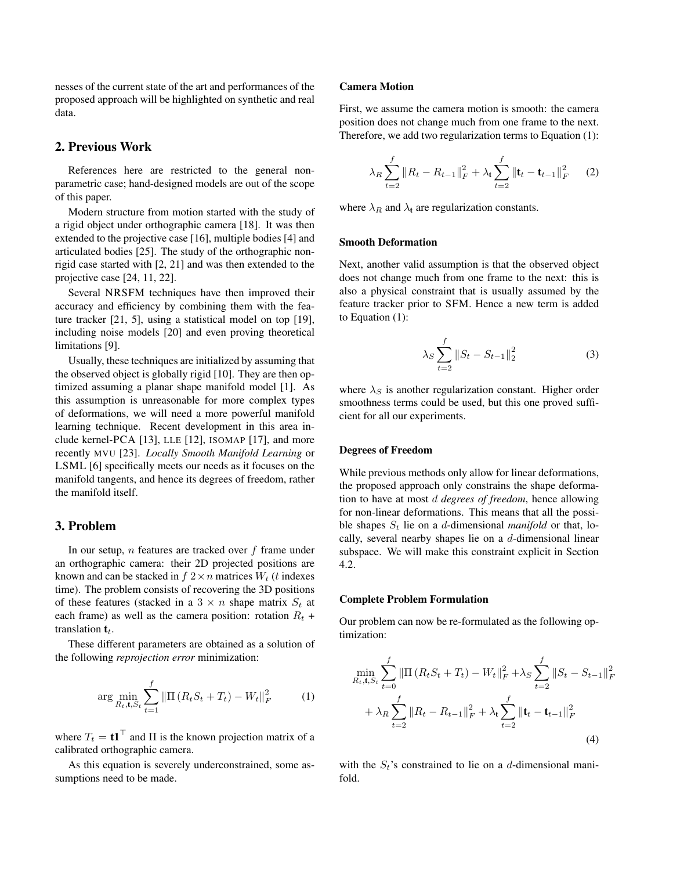nesses of the current state of the art and performances of the proposed approach will be highlighted on synthetic and real data.

## 2. Previous Work

References here are restricted to the general nonparametric case; hand-designed models are out of the scope of this paper.

Modern structure from motion started with the study of a rigid object under orthographic camera [18]. It was then extended to the projective case [16], multiple bodies [4] and articulated bodies [25]. The study of the orthographic nonrigid case started with [2, 21] and was then extended to the projective case [24, 11, 22].

Several NRSFM techniques have then improved their accuracy and efficiency by combining them with the feature tracker [21, 5], using a statistical model on top [19], including noise models [20] and even proving theoretical limitations [9].

Usually, these techniques are initialized by assuming that the observed object is globally rigid [10]. They are then optimized assuming a planar shape manifold model [1]. As this assumption is unreasonable for more complex types of deformations, we will need a more powerful manifold learning technique. Recent development in this area include kernel-PCA [13], LLE [12], ISOMAP [17], and more recently MVU [23]. *Locally Smooth Manifold Learning* or LSML [6] specifically meets our needs as it focuses on the manifold tangents, and hence its degrees of freedom, rather the manifold itself.

# 3. Problem

In our setup,  $n$  features are tracked over  $f$  frame under an orthographic camera: their 2D projected positions are known and can be stacked in  $f$   $2 \times n$  matrices  $W_t$  (t indexes time). The problem consists of recovering the 3D positions of these features (stacked in a  $3 \times n$  shape matrix  $S_t$  at each frame) as well as the camera position: rotation  $R_t$  + translation  $t_t$ .

These different parameters are obtained as a solution of the following *reprojection error* minimization:

$$
\arg\min_{R_t, t, S_t} \sum_{t=1}^f \|\Pi(R_t S_t + T_t) - W_t\|_F^2 \tag{1}
$$

where  $T_t = t \mathbf{1}^\top$  and  $\Pi$  is the known projection matrix of a calibrated orthographic camera.

As this equation is severely underconstrained, some assumptions need to be made.

#### Camera Motion

First, we assume the camera motion is smooth: the camera position does not change much from one frame to the next. Therefore, we add two regularization terms to Equation (1):

$$
\lambda_R \sum_{t=2}^f \|R_t - R_{t-1}\|_F^2 + \lambda_t \sum_{t=2}^f \|\mathbf{t}_t - \mathbf{t}_{t-1}\|_F^2 \qquad (2)
$$

where  $\lambda_R$  and  $\lambda_t$  are regularization constants.

### Smooth Deformation

Next, another valid assumption is that the observed object does not change much from one frame to the next: this is also a physical constraint that is usually assumed by the feature tracker prior to SFM. Hence a new term is added to Equation (1):

$$
\lambda_S \sum_{t=2}^{f} \|S_t - S_{t-1}\|_2^2
$$
 (3)

where  $\lambda_S$  is another regularization constant. Higher order smoothness terms could be used, but this one proved sufficient for all our experiments.

#### Degrees of Freedom

While previous methods only allow for linear deformations, the proposed approach only constrains the shape deformation to have at most d *degrees of freedom*, hence allowing for non-linear deformations. This means that all the possible shapes  $S_t$  lie on a d-dimensional *manifold* or that, locally, several nearby shapes lie on a  $d$ -dimensional linear subspace. We will make this constraint explicit in Section 4.2.

#### Complete Problem Formulation

Our problem can now be re-formulated as the following optimization:

$$
\min_{R_t, \mathbf{t}, S_t} \sum_{t=0}^f \|\Pi \left(R_t S_t + T_t\right) - W_t\|_F^2 + \lambda_S \sum_{t=2}^f \|S_t - S_{t-1}\|_F^2 + \lambda_R \sum_{t=2}^f \|R_t - R_{t-1}\|_F^2 + \lambda_t \sum_{t=2}^f \|\mathbf{t}_t - \mathbf{t}_{t-1}\|_F^2
$$
\n(4)

with the  $S_t$ 's constrained to lie on a d-dimensional manifold.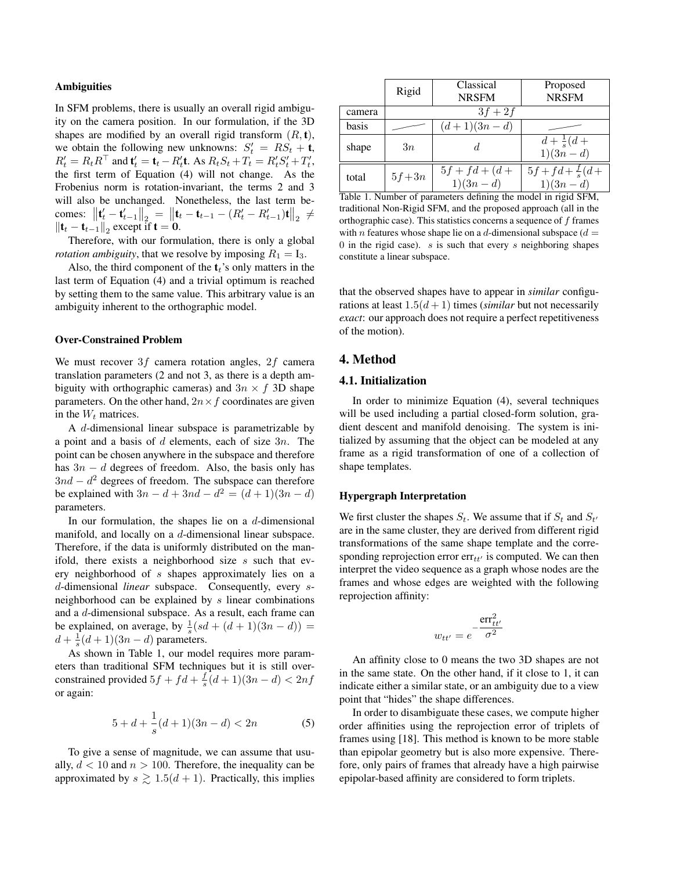#### **Ambiguities**

In SFM problems, there is usually an overall rigid ambiguity on the camera position. In our formulation, if the 3D shapes are modified by an overall rigid transform  $(R, t)$ , we obtain the following new unknowns:  $S'_t = RS_t + t$ ,  $R'_t = R_t R^{\top}$  and  $\mathbf{t}'_t = \mathbf{t}_t - R'_t \mathbf{t}$ . As  $R_t S_t + T_t = R'_t S'_t + T'_t$ , the first term of Equation (4) will not change. As the Frobenius norm is rotation-invariant, the terms 2 and 3 will also be unchanged. Nonetheless, the last term becomes:  $\left\| \mathbf{t}'_t - \mathbf{t}'_{t-1} \right\|_2 = \left\| \mathbf{t}_t - \mathbf{t}_{t-1} - (R'_t - R'_{t-1})\mathbf{t} \right\|_2 \neq$  $\left\Vert \mathbf{t}_{t}-\mathbf{t}_{t-1}\right\Vert _{2}$  except if  $\mathbf{t}=\mathbf{0}$ .

Therefore, with our formulation, there is only a global *rotation ambiguity*, that we resolve by imposing  $R_1 = I_3$ .

Also, the third component of the  $t_t$ 's only matters in the last term of Equation (4) and a trivial optimum is reached by setting them to the same value. This arbitrary value is an ambiguity inherent to the orthographic model.

#### Over-Constrained Problem

We must recover  $3f$  camera rotation angles,  $2f$  camera translation parameters (2 and not 3, as there is a depth ambiguity with orthographic cameras) and  $3n \times f$  3D shape parameters. On the other hand,  $2n \times f$  coordinates are given in the  $W_t$  matrices.

A d-dimensional linear subspace is parametrizable by a point and a basis of  $d$  elements, each of size  $3n$ . The point can be chosen anywhere in the subspace and therefore has  $3n - d$  degrees of freedom. Also, the basis only has  $3nd - d^2$  degrees of freedom. The subspace can therefore be explained with  $3n - d + 3nd - d^2 = (d+1)(3n - d)$ parameters.

In our formulation, the shapes lie on a  $d$ -dimensional manifold, and locally on a d-dimensional linear subspace. Therefore, if the data is uniformly distributed on the manifold, there exists a neighborhood size  $s$  such that every neighborhood of s shapes approximately lies on a d-dimensional *linear* subspace. Consequently, every sneighborhood can be explained by s linear combinations and a d-dimensional subspace. As a result, each frame can be explained, on average, by  $\frac{1}{s}(sd + (d+1)(3n-d)) =$  $d + \frac{1}{s}(d+1)(3n-d)$  parameters.

As shown in Table 1, our model requires more parameters than traditional SFM techniques but it is still overconstrained provided  $5f + fd + \frac{f}{s}(d+1)(3n-d) < 2nf$ or again:

$$
5 + d + \frac{1}{s}(d+1)(3n-d) < 2n \tag{5}
$$

To give a sense of magnitude, we can assume that usually,  $d < 10$  and  $n > 100$ . Therefore, the inequality can be approximated by  $s \geq 1.5(d+1)$ . Practically, this implies

|        | Rigid   | Classical                      | Proposed                                  |
|--------|---------|--------------------------------|-------------------------------------------|
|        |         | <b>NRSFM</b>                   | <b>NRSFM</b>                              |
| camera |         | $3f+2f$                        |                                           |
| basis  |         | $(d+1)(3n-d)$                  |                                           |
| shape  | 3n      | d.                             | $d + \frac{1}{s}(d +$<br>$1)(3n-1)$       |
| total  | $5f+3n$ | $5f + fd + (d +$<br>$1)(3n-d)$ | $5f + fd + \frac{f}{s}(d +$<br>$1)(3n-d)$ |

Table 1. Number of parameters defining the model in rigid SFM, traditional Non-Rigid SFM, and the proposed approach (all in the orthographic case). This statistics concerns a sequence of f frames with n features whose shape lie on a d-dimensional subspace  $(d =$ 0 in the rigid case).  $s$  is such that every  $s$  neighboring shapes constitute a linear subspace.

that the observed shapes have to appear in *similar* configurations at least  $1.5(d+1)$  times (*similar* but not necessarily *exact*: our approach does not require a perfect repetitiveness of the motion).

# 4. Method

## 4.1. Initialization

In order to minimize Equation (4), several techniques will be used including a partial closed-form solution, gradient descent and manifold denoising. The system is initialized by assuming that the object can be modeled at any frame as a rigid transformation of one of a collection of shape templates.

### Hypergraph Interpretation

We first cluster the shapes  $S_t$ . We assume that if  $S_t$  and  $S_{t'}$ are in the same cluster, they are derived from different rigid transformations of the same shape template and the corresponding reprojection error  $err_{tt'}$  is computed. We can then interpret the video sequence as a graph whose nodes are the frames and whose edges are weighted with the following reprojection affinity:

$$
w_{tt'} = e^{-\frac{\text{err}_{tt'}^2}{\sigma^2}}
$$

An affinity close to 0 means the two 3D shapes are not in the same state. On the other hand, if it close to 1, it can indicate either a similar state, or an ambiguity due to a view point that "hides" the shape differences.

In order to disambiguate these cases, we compute higher order affinities using the reprojection error of triplets of frames using [18]. This method is known to be more stable than epipolar geometry but is also more expensive. Therefore, only pairs of frames that already have a high pairwise epipolar-based affinity are considered to form triplets.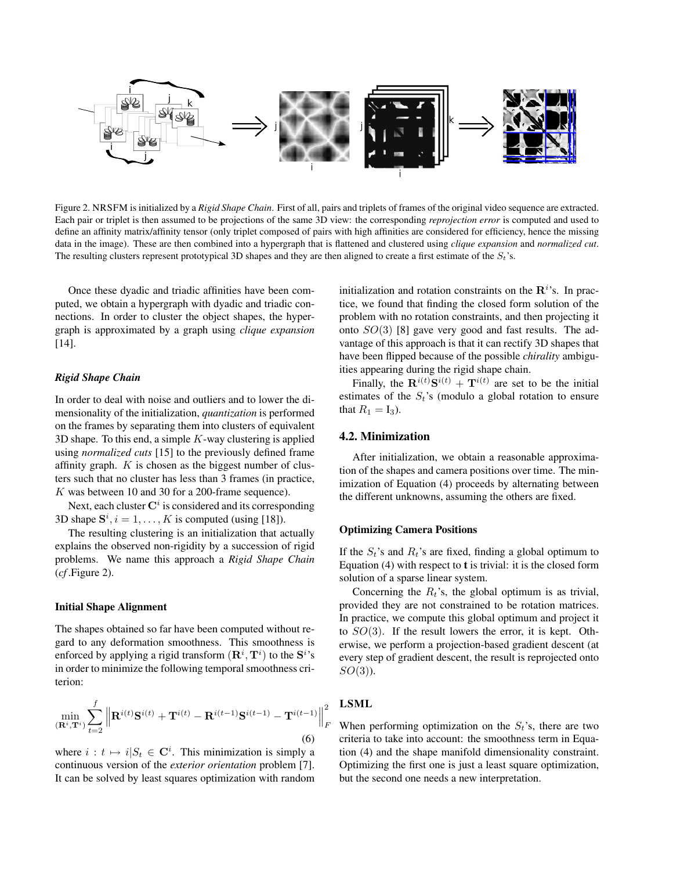

Figure 2. NRSFM is initialized by a *Rigid Shape Chain*. First of all, pairs and triplets of frames of the original video sequence are extracted. Each pair or triplet is then assumed to be projections of the same 3D view: the corresponding *reprojection error* is computed and used to define an affinity matrix/affinity tensor (only triplet composed of pairs with high affinities are considered for efficiency, hence the missing data in the image). These are then combined into a hypergraph that is flattened and clustered using *clique expansion* and *normalized cut*. The resulting clusters represent prototypical 3D shapes and they are then aligned to create a first estimate of the  $S_t$ 's.

Once these dyadic and triadic affinities have been computed, we obtain a hypergraph with dyadic and triadic connections. In order to cluster the object shapes, the hypergraph is approximated by a graph using *clique expansion* [14].

### *Rigid Shape Chain*

In order to deal with noise and outliers and to lower the dimensionality of the initialization, *quantization* is performed on the frames by separating them into clusters of equivalent 3D shape. To this end, a simple  $K$ -way clustering is applied using *normalized cuts* [15] to the previously defined frame affinity graph.  $K$  is chosen as the biggest number of clusters such that no cluster has less than 3 frames (in practice, K was between 10 and 30 for a 200-frame sequence).

Next, each cluster  $\mathbf{C}^i$  is considered and its corresponding 3D shape  $S^i$ ,  $i = 1, ..., K$  is computed (using [18]).

The resulting clustering is an initialization that actually explains the observed non-rigidity by a succession of rigid problems. We name this approach a *Rigid Shape Chain* (*cf* .Figure 2).

#### Initial Shape Alignment

The shapes obtained so far have been computed without regard to any deformation smoothness. This smoothness is enforced by applying a rigid transform  $(\mathbf{R}^i, \mathbf{T}^i)$  to the  $\mathbf{S}^i$ 's in order to minimize the following temporal smoothness criterion:

$$
\min_{\left(\mathbf{R}^i, \mathbf{T}^i\right)} \sum_{t=2}^f \left\| \mathbf{R}^{i(t)} \mathbf{S}^{i(t)} + \mathbf{T}^{i(t)} - \mathbf{R}^{i(t-1)} \mathbf{S}^{i(t-1)} - \mathbf{T}^{i(t-1)} \right\|_F^2
$$
\n(6)

where  $i : t \mapsto i|S_t \in \mathbb{C}^i$ . This minimization is simply a continuous version of the *exterior orientation* problem [7]. It can be solved by least squares optimization with random

initialization and rotation constraints on the  $\mathbb{R}^{i}$ 's. In practice, we found that finding the closed form solution of the problem with no rotation constraints, and then projecting it onto  $SO(3)$  [8] gave very good and fast results. The advantage of this approach is that it can rectify 3D shapes that have been flipped because of the possible *chirality* ambiguities appearing during the rigid shape chain.

Finally, the  $\mathbf{R}^{i(t)}\mathbf{S}^{i(t)} + \mathbf{T}^{i(t)}$  are set to be the initial estimates of the  $S_t$ 's (modulo a global rotation to ensure that  $R_1 = I_3$ ).

### 4.2. Minimization

After initialization, we obtain a reasonable approximation of the shapes and camera positions over time. The minimization of Equation (4) proceeds by alternating between the different unknowns, assuming the others are fixed.

#### Optimizing Camera Positions

If the  $S_t$ 's and  $R_t$ 's are fixed, finding a global optimum to Equation  $(4)$  with respect to **t** is trivial: it is the closed form solution of a sparse linear system.

Concerning the  $R_t$ 's, the global optimum is as trivial, provided they are not constrained to be rotation matrices. In practice, we compute this global optimum and project it to  $SO(3)$ . If the result lowers the error, it is kept. Otherwise, we perform a projection-based gradient descent (at every step of gradient descent, the result is reprojected onto  $SO(3)$ ).

# LSML

When performing optimization on the  $S_t$ 's, there are two criteria to take into account: the smoothness term in Equation (4) and the shape manifold dimensionality constraint. Optimizing the first one is just a least square optimization, but the second one needs a new interpretation.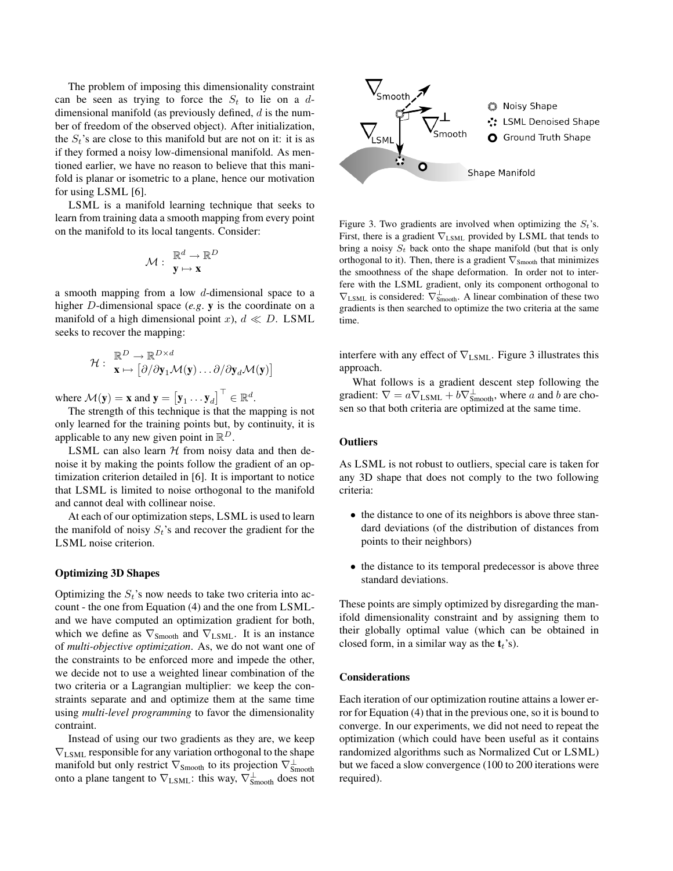The problem of imposing this dimensionality constraint can be seen as trying to force the  $S_t$  to lie on a ddimensional manifold (as previously defined,  $d$  is the number of freedom of the observed object). After initialization, the  $S_t$ 's are close to this manifold but are not on it: it is as if they formed a noisy low-dimensional manifold. As mentioned earlier, we have no reason to believe that this manifold is planar or isometric to a plane, hence our motivation for using LSML [6].

LSML is a manifold learning technique that seeks to learn from training data a smooth mapping from every point on the manifold to its local tangents. Consider:

$$
\mathcal{M}:\begin{array}{c}\mathbb{R}^d\to\mathbb{R}^D\\ \mathbf{y}\mapsto\mathbf{x}\end{array}
$$

a smooth mapping from a low d-dimensional space to a higher D-dimensional space (*e.g*. y is the coordinate on a manifold of a high dimensional point x),  $d \ll D$ . LSML seeks to recover the mapping:

$$
\mathcal{H}: \begin{array}{l} \mathbb{R}^D \to \mathbb{R}^{D \times d} \\ \mathbf{x} \mapsto \left[ \partial/\partial \mathbf{y}_1 \mathcal{M}(\mathbf{y}) \dots \partial/\partial \mathbf{y}_d \mathcal{M}(\mathbf{y}) \right] \end{array}
$$

where  $\mathcal{M}(\mathbf{y}) = \mathbf{x}$  and  $\mathbf{y} = \begin{bmatrix} \mathbf{y}_1 \dots \mathbf{y}_d \end{bmatrix}^\top \in \mathbb{R}^d$ .

The strength of this technique is that the mapping is not only learned for the training points but, by continuity, it is applicable to any new given point in  $\mathbb{R}^D$ .

LSML can also learn  $H$  from noisy data and then denoise it by making the points follow the gradient of an optimization criterion detailed in [6]. It is important to notice that LSML is limited to noise orthogonal to the manifold and cannot deal with collinear noise.

At each of our optimization steps, LSML is used to learn the manifold of noisy  $S_t$ 's and recover the gradient for the LSML noise criterion.

### Optimizing 3D Shapes

Optimizing the  $S_t$ 's now needs to take two criteria into account - the one from Equation (4) and the one from LSMLand we have computed an optimization gradient for both, which we define as  $\nabla_{Smooth}$  and  $\nabla_{LSML}$ . It is an instance of *multi-objective optimization*. As, we do not want one of the constraints to be enforced more and impede the other, we decide not to use a weighted linear combination of the two criteria or a Lagrangian multiplier: we keep the constraints separate and and optimize them at the same time using *multi-level programming* to favor the dimensionality contraint.

Instead of using our two gradients as they are, we keep  $\nabla_{\text{LSML}}$  responsible for any variation orthogonal to the shape manifold but only restrict  $\nabla_{\text{Smooth}}$  to its projection  $\nabla^{\perp}_{\text{Smooth}}$ onto a plane tangent to  $\nabla_{LSML}$ : this way,  $\nabla_{Smooth}^{\perp}$  does not



Figure 3. Two gradients are involved when optimizing the  $S_t$ 's. First, there is a gradient ∇LSML provided by LSML that tends to bring a noisy  $S_t$  back onto the shape manifold (but that is only orthogonal to it). Then, there is a gradient  $\nabla_{\text{Smooth}}$  that minimizes the smoothness of the shape deformation. In order not to interfere with the LSML gradient, only its component orthogonal to  $\nabla_{\text{LSML}}$  is considered:  $\nabla_{\text{Smooth}}^{\perp}$ . A linear combination of these two gradients is then searched to optimize the two criteria at the same time.

interfere with any effect of  $\nabla_{\text{LSML}}$ . Figure 3 illustrates this approach.

What follows is a gradient descent step following the gradient:  $\nabla = a \nabla_{\text{LSML}} + b \nabla_{\text{Smooth}}^{\perp}$ , where a and b are chosen so that both criteria are optimized at the same time.

### **Outliers**

As LSML is not robust to outliers, special care is taken for any 3D shape that does not comply to the two following criteria:

- the distance to one of its neighbors is above three standard deviations (of the distribution of distances from points to their neighbors)
- the distance to its temporal predecessor is above three standard deviations.

These points are simply optimized by disregarding the manifold dimensionality constraint and by assigning them to their globally optimal value (which can be obtained in closed form, in a similar way as the  $t_t$ 's).

#### Considerations

Each iteration of our optimization routine attains a lower error for Equation (4) that in the previous one, so it is bound to converge. In our experiments, we did not need to repeat the optimization (which could have been useful as it contains randomized algorithms such as Normalized Cut or LSML) but we faced a slow convergence (100 to 200 iterations were required).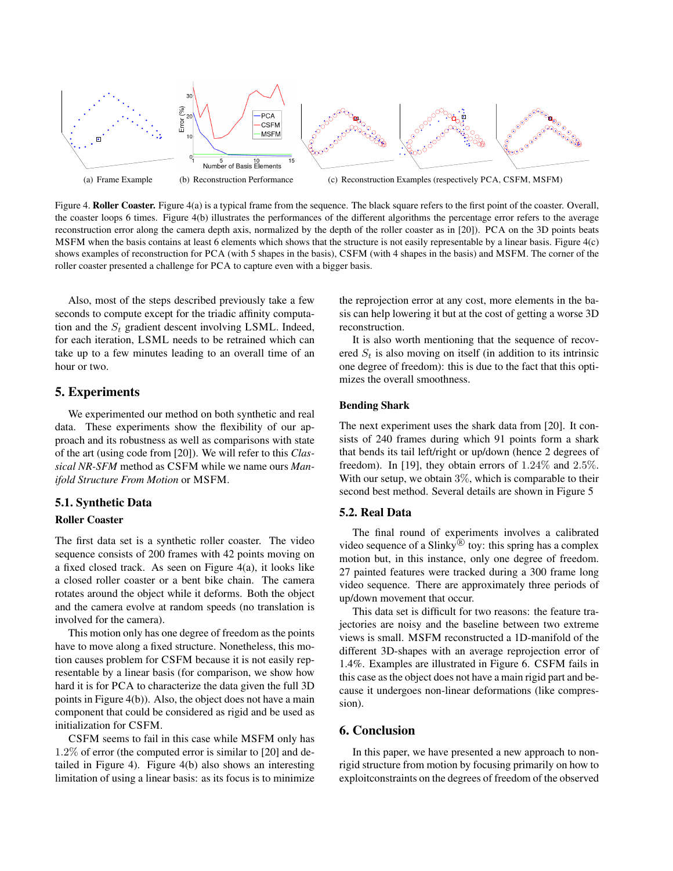

Figure 4. Roller Coaster. Figure 4(a) is a typical frame from the sequence. The black square refers to the first point of the coaster. Overall, the coaster loops 6 times. Figure 4(b) illustrates the performances of the different algorithms the percentage error refers to the average reconstruction error along the camera depth axis, normalized by the depth of the roller coaster as in [20]). PCA on the 3D points beats MSFM when the basis contains at least 6 elements which shows that the structure is not easily representable by a linear basis. Figure 4(c) shows examples of reconstruction for PCA (with 5 shapes in the basis), CSFM (with 4 shapes in the basis) and MSFM. The corner of the roller coaster presented a challenge for PCA to capture even with a bigger basis.

Also, most of the steps described previously take a few seconds to compute except for the triadic affinity computation and the  $S_t$  gradient descent involving LSML. Indeed, for each iteration, LSML needs to be retrained which can take up to a few minutes leading to an overall time of an hour or two.

# 5. Experiments

We experimented our method on both synthetic and real data. These experiments show the flexibility of our approach and its robustness as well as comparisons with state of the art (using code from [20]). We will refer to this *Classical NR-SFM* method as CSFM while we name ours *Manifold Structure From Motion* or MSFM.

## 5.1. Synthetic Data

### Roller Coaster

The first data set is a synthetic roller coaster. The video sequence consists of 200 frames with 42 points moving on a fixed closed track. As seen on Figure 4(a), it looks like a closed roller coaster or a bent bike chain. The camera rotates around the object while it deforms. Both the object and the camera evolve at random speeds (no translation is involved for the camera).

This motion only has one degree of freedom as the points have to move along a fixed structure. Nonetheless, this motion causes problem for CSFM because it is not easily representable by a linear basis (for comparison, we show how hard it is for PCA to characterize the data given the full 3D points in Figure 4(b)). Also, the object does not have a main component that could be considered as rigid and be used as initialization for CSFM.

CSFM seems to fail in this case while MSFM only has 1.2% of error (the computed error is similar to [20] and detailed in Figure 4). Figure 4(b) also shows an interesting limitation of using a linear basis: as its focus is to minimize the reprojection error at any cost, more elements in the basis can help lowering it but at the cost of getting a worse 3D reconstruction.

It is also worth mentioning that the sequence of recovered  $S_t$  is also moving on itself (in addition to its intrinsic one degree of freedom): this is due to the fact that this optimizes the overall smoothness.

### Bending Shark

The next experiment uses the shark data from [20]. It consists of 240 frames during which 91 points form a shark that bends its tail left/right or up/down (hence 2 degrees of freedom). In [19], they obtain errors of 1.24% and 2.5%. With our setup, we obtain  $3\%$ , which is comparable to their second best method. Several details are shown in Figure 5

### 5.2. Real Data

The final round of experiments involves a calibrated video sequence of a Slinky $\overline{P}$  toy: this spring has a complex motion but, in this instance, only one degree of freedom. 27 painted features were tracked during a 300 frame long video sequence. There are approximately three periods of up/down movement that occur.

This data set is difficult for two reasons: the feature trajectories are noisy and the baseline between two extreme views is small. MSFM reconstructed a 1D-manifold of the different 3D-shapes with an average reprojection error of 1.4%. Examples are illustrated in Figure 6. CSFM fails in this case as the object does not have a main rigid part and because it undergoes non-linear deformations (like compression).

# 6. Conclusion

In this paper, we have presented a new approach to nonrigid structure from motion by focusing primarily on how to exploitconstraints on the degrees of freedom of the observed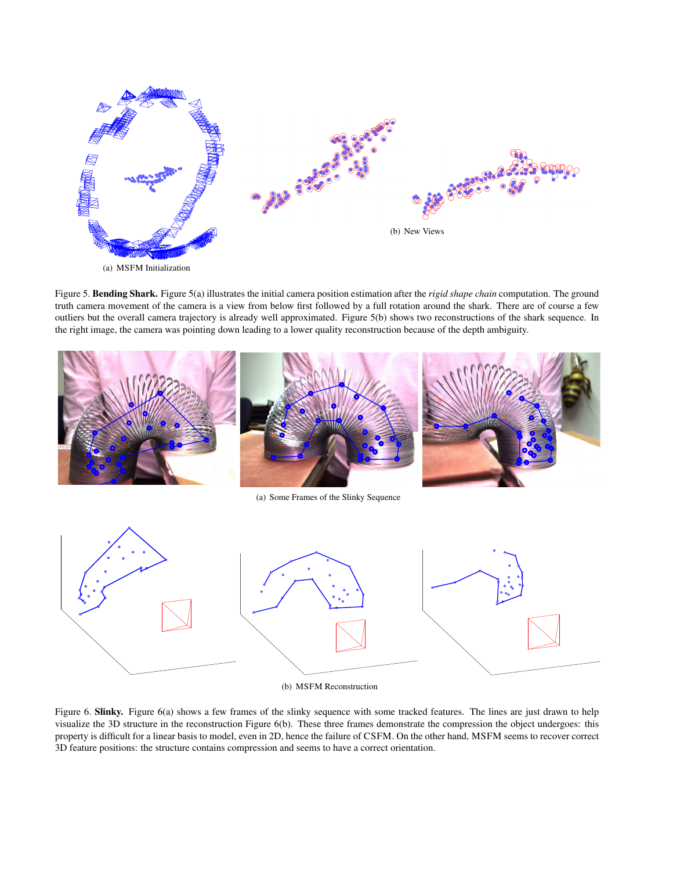

Figure 5. Bending Shark. Figure 5(a) illustrates the initial camera position estimation after the *rigid shape chain* computation. The ground truth camera movement of the camera is a view from below first followed by a full rotation around the shark. There are of course a few outliers but the overall camera trajectory is already well approximated. Figure 5(b) shows two reconstructions of the shark sequence. In the right image, the camera was pointing down leading to a lower quality reconstruction because of the depth ambiguity.



(a) Some Frames of the Slinky Sequence



(b) MSFM Reconstruction

Figure 6. Slinky. Figure 6(a) shows a few frames of the slinky sequence with some tracked features. The lines are just drawn to help visualize the 3D structure in the reconstruction Figure 6(b). These three frames demonstrate the compression the object undergoes: this property is difficult for a linear basis to model, even in 2D, hence the failure of CSFM. On the other hand, MSFM seems to recover correct 3D feature positions: the structure contains compression and seems to have a correct orientation.